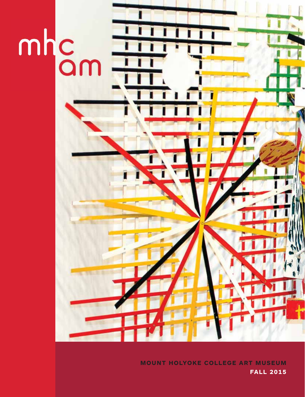

**MOUNT HOLYOKE COLLEGE ART MUSEUM FALL 2015**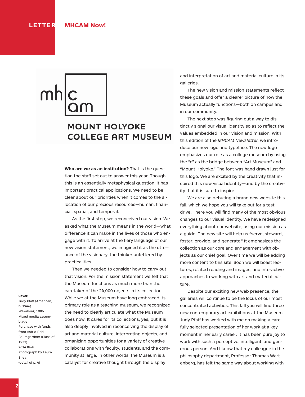## **MOUNT HOLYOKE COLLEGE ART MUSEUM**

**Who are we as an institution?** That is the question the staff set out to answer this year. Though this is an essentially metaphysical question, it has important practical applications. We need to be clear about our priorities when it comes to the allocation of our precious resources—human, financial, spatial, and temporal.

 As the first step, we reconceived our vision. We asked what the Museum means in the world—what difference it can make in the lives of those who engage with it. To arrive at the fiery language of our new vision statement, we imagined it as the utterance of the visionary, the thinker unfettered by practicalities.

 Then we needed to consider how to carry out that vision. For the mission statement we felt that the Museum functions as much more than the caretaker of the 24,000 objects in its collection. While we at the Museum have long embraced its primary role as a teaching museum, we recognized the need to clearly articulate what the Museum does now. It cares for its collections, yes, but it is also deeply involved in reconceiving the display of art and material culture, interpreting objects, and organizing opportunities for a variety of creative collaborations with faculty, students, and the community at large. In other words, the Museum is a catalyst for creative thought through the display

and interpretation of art and material culture in its galleries.

 The new vision and mission statements reflect these goals and offer a clearer picture of how the Museum actually functions—both on campus and in our community.

 The next step was figuring out a way to distinctly signal our visual identity so as to reflect the values embedded in our vision and mission. With this edition of the *MHCAM Newsletter,* we introduce our new logo and typeface. The new logo emphasizes our role as a college museum by using the "c" as the bridge between "Art Museum" and "Mount Holyoke." The font was hand drawn just for this logo. We are excited by the creativity that inspired this new visual identity—and by the creativity that it is sure to inspire.

 We are also debuting a brand new website this fall, which we hope you will take out for a test drive. There you will find many of the most obvious changes to our visual identity. We have redesigned everything about our website, using our mission as a guide. The new site will help us "serve, steward, foster, provide, and generate." It emphasizes the collection as our core and engagement with objects as our chief goal. Over time we will be adding more content to this site. Soon we will boast lectures, related reading and images, and interactive approaches to working with art and material culture.

 Despite our exciting new web presence, the galleries will continue to be the locus of our most concentrated activities. This fall you will find three new contemporary art exhibitions at the Museum. Judy Pfaff has worked with me on making a carefully selected presentation of her work at a key moment in her early career. It has been pure joy to work with such a perceptive, intelligent, and generous person. And I know that my colleague in the philosophy department, Professor Thomas Wartenberg, has felt the same way about working with

**Cover:** 

Judy Pfaff (American, b. 1946) *Wallabout,* 1986 Mixed media assemblage Purchase with funds from Astrid Rehl Baumgardner (Class of 1973) 2014.8a-k Photograph by Laura Shea (detail of p. 4)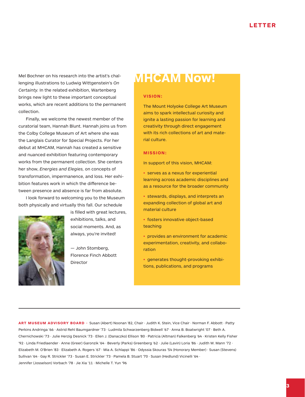Mel Bochner on his research into the artist's challenging illustrations to Ludwig Wittgenstein's *On Certainty.* In the related exhibition, Wartenberg brings new light to these important conceptual works, which are recent additions to the permanent collection.

 Finally, we welcome the newest member of the curatorial team, Hannah Blunt. Hannah joins us from the Colby College Museum of Art where she was the Langlais Curator for Special Projects. For her debut at MHCAM, Hannah has created a sensitive and nuanced exhibition featuring contemporary works from the permanent collection. She centers her show, *Energies and Elegies,* on concepts of transformation, impermanence, and loss. Her exhibition features work in which the difference between presence and absence is far from absolute.

 I look forward to welcoming you to the Museum both physically and virtually this fall. Our schedule



is filled with great lectures, exhibitions, talks, and social moments. And, as always, you're invited!

— John Stomberg, Florence Finch Abbott Director

## **MHCAM Now!**

#### **VISION:**

The Mount Holyoke College Art Museum aims to spark intellectual curiosity and ignite a lasting passion for learning and creativity through direct engagement with its rich collections of art and material culture.

#### **MISSION:**

In support of this vision, MHCAM:

• serves as a nexus for experiential learning across academic disciplines and as a resource for the broader community

• stewards, displays, and interprets an expanding collection of global art and material culture

• fosters innovative object-based teaching

• provides an environment for academic experimentation, creativity, and collaboration

• generates thought-provoking exhibitions, publications, and programs

**ART MUSEUM ADVISORY BOARD ·** Susan (Abert) Noonan '82, Chair · Judith K. Stein, Vice Chair · Norman F. Abbott · Patty Perkins Andringa '66 · Astrid Rehl Baumgardner '73 · Ludmila Schwarzenberg Bidwell '67 · Anna B. Boatwright '07 · Beth A. Chernichowski '73 · Julie Herzig Desnick '73 · Ellen J. (Danaczko) Ellison '80 · Patricia (Altman) Falkenberg '64 · Kristen Kelly Fisher '92 · Linda Friedlaender · Anne (Greer) Garonzik '64 · Beverly (Parks) Greenberg '62 · Julie (Lavin) Loria '86 · Judith W. Mann '72 · Elizabeth M. O'Brien '83 · Elizabeth A. Rogers '67 · Mia A. Schlappi '86 · Odyssia Skouras '54 (Honorary Member) · Susan (Stevens) Sullivan '64 · Gay R. Strickler '73 · Susan E. Strickler '73 · Pamela B. Stuart '70 · Susan (Hedlund) Vicinelli '64 · Jennifer (Josselson) Vorbach '78 · Jie Xia '11 · Michelle T. Yun '96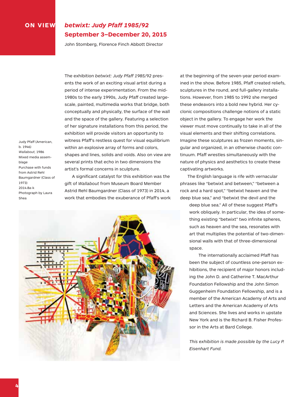#### **ON VIEW** *betwixt: Judy Pfaff 1985/92* **September 3–December 20, 2015**

John Stomberg, Florence Finch Abbott Director

The exhibition *betwixt: Judy Pfaff 1985/92* presents the work of an exciting visual artist during a period of intense experimentation. From the mid-1980s to the early 1990s, Judy Pfaff created largescale, painted, multimedia works that bridge, both conceptually and physically, the surface of the wall and the space of the gallery. Featuring a selection of her signature installations from this period, the exhibition will provide visitors an opportunity to witness Pfaff's restless quest for visual equilibrium within an explosive array of forms and colors, shapes and lines, solids and voids. Also on view are several prints that echo in two dimensions the artist's formal concerns in sculpture.

Judy Pfaff (American, b. 1946) *Wallabout,* 1986 Mixed media assemblage Purchase with funds from Astrid Rehl Baumgardner (Class of 1973) 2014.8a-k Photograph by Laura Shea

 A significant catalyst for this exhibition was the gift of *Wallabout* from Museum Board Member Astrid Rehl Baumgardner (Class of 1973) in 2014, a work that embodies the exuberance of Pfaff's work



at the beginning of the seven-year period examined in the show. Before 1985, Pfaff created reliefs, sculptures in the round, and full-gallery installations. However, from 1985 to 1992 she merged these endeavors into a bold new hybrid. Her cyclonic compositions challenge notions of a static object in the gallery. To engage her work the viewer must move continually to take in all of the visual elements and their shifting correlations. Imagine these sculptures as frozen moments, singular and organized, in an otherwise chaotic continuum. Pfaff wrestles simultaneously with the nature of physics and aesthetics to create these captivating artworks.

 The English language is rife with vernacular phrases like "betwixt and between," "between a rock and a hard spot," "betwixt heaven and the deep blue sea," and "betwixt the devil and the

deep blue sea." All of these suggest Pfaff's work obliquely. In particular, the idea of something existing "betwixt" two infinite spheres, such as heaven and the sea, resonates with art that multiplies the potential of two-dimensional walls with that of three-dimensional space.

The internationally acclaimed Pfaff has been the subject of countless one-person exhibitions, the recipient of major honors including the John D. and Catherine T. MacArthur Foundation Fellowship and the John Simon Guggenheim Foundation Fellowship, and is a member of the American Academy of Arts and Letters and the American Academy of Arts and Sciences. She lives and works in upstate New York and is the Richard B. Fisher Professor in the Arts at Bard College.

*This exhibition is made possible by the Lucy P. Eisenhart Fund.*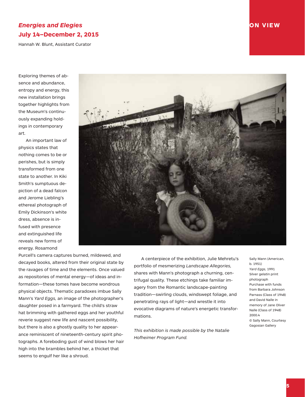#### *Energies and Elegies* **ON VIEW July 14–December 2, 2015**

Hannah W. Blunt, Assistant Curator

Exploring themes of absence and abundance, entropy and energy, this new installation brings together highlights from the Museum's continuously expanding holdings in contemporary art.

 An important law of physics states that nothing comes to be or perishes, but is simply transformed from one state to another. In Kiki Smith's sumptuous depiction of a dead falcon and Jerome Liebling's ethereal photograph of Emily Dickinson's white dress, absence is infused with presence and extinguished life reveals new forms of energy. Rosamond



Purcell's camera captures burned, mildewed, and decayed books, altered from their original state by the ravages of time and the elements. Once valued as repositories of mental energy—of ideas and information—these tomes have become wondrous physical objects. Thematic paradoxes imbue Sally Mann's *Yard Eggs,* an image of the photographer's daughter posed in a farmyard. The child's straw hat brimming with gathered eggs and her youthful reverie suggest new life and nascent possibility, but there is also a ghostly quality to her appearance reminiscent of nineteenth-century spirit photographs. A foreboding gust of wind blows her hair high into the brambles behind her, a thicket that seems to engulf her like a shroud.

 A centerpiece of the exhibition, Julie Mehretu's portfolio of mesmerizing *Landscape Allegories,* shares with Mann's photograph a churning, centrifugal quality. These etchings take familiar imagery from the Romantic landscape-painting tradition—swirling clouds, windswept foliage, and penetrating rays of light—and wrestle it into evocative diagrams of nature's energetic transformations.

*This exhibition is made possible by the Natalie Hofheimer Program Fund.*

Sally Mann (American, b. 1951) *Yard Eggs,* 1991 Silver gelatin print photograph Purchase with funds from Barbara Johnson Parnass (Class of 1948) and David Nalle in memory of Jane Oliver Nalle (Class of 1948) 2000.4 © Sally Mann, Courtesy Gagosian Gallery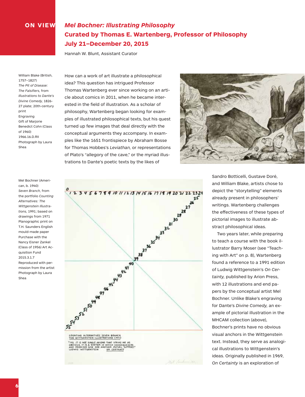## **ON VIEW** *Mel Bochner: Illustrating Philosophy* **Curated by Thomas E. Wartenberg, Professor of Philosophy July 21–December 20, 2015**

Hannah W. Blunt, Assistant Curator

William Blake (British, 1757–1827) *The Pit of Disease: The Falsifiers,* from *Illustrations to Dante's Divine Comedy,* 1826- 27 plate; 20th-century print Engraving Gift of Marjorie Benedict Cohn (Class of 1960) 1966.16.D.RII Photograph by Laura Shea

Mel Bochner (American, b. 1940) *Seven Branch,* from the portfolio *Counting Alternatives: The Wittgenstein Illustrations,* 1991; based on drawings from 1971 Planographic print on T.H. Saunders English mould-made paper Purchase with the Nancy Eisner Zankel (Class of 1956) Art Acquisition Fund 2015.3.1.7 Reproduced with permission from the artist Photograph by Laura Shea

How can a work of art illustrate a philosophical idea? This question has intrigued Professor Thomas Wartenberg ever since working on an article about comics in 2011, when he became interested in the field of illustration. As a scholar of philosophy, Wartenberg began looking for examples of illustrated philosophical texts, but his quest turned up few images that deal directly with the conceptual arguments they accompany. In examples like the 1651 frontispiece by Abraham Bosse for Thomas Hobbes's *Leviathan,* or representations of Plato's "allegory of the cave," or the myriad illustrations to Dante's poetic texts by the likes of





Sandro Botticelli, Gustave Doré, and William Blake, artists chose to depict the "storytelling" elements already present in philosophers' writings. Wartenberg challenges the effectiveness of these types of pictorial images to illustrate abstract philosophical ideas.

Two years later, while preparing to teach a course with the book illustrator Barry Moser (see "Teaching with Art" on p. 8), Wartenberg found a reference to a 1991 edition of Ludwig Wittgenstein's *On Certainty,* published by Arion Press, with 12 illustrations and end papers by the conceptual artist Mel Bochner. Unlike Blake's engraving for Dante's *Divine Comedy,* an example of pictorial illustration in the MHCAM collection (above), Bochner's prints have no obvious visual anchors in the Wittgenstein text. Instead, they serve as analogical illustrations to Wittgenstein's ideas. Originally published in 1969, *On Certainty* is an exploration of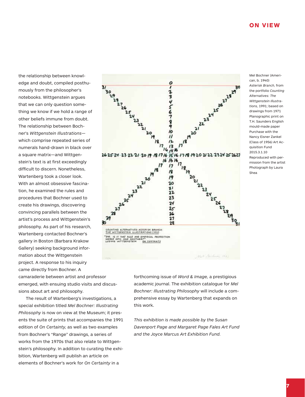the relationship between knowledge and doubt, compiled posthumously from the philosopher's notebooks. Wittgenstein argues that we can only question something we know if we hold a range of other beliefs immune from doubt. The relationship between Bochner's *Wittgenstein Illustrations* which comprise repeated series of numerals hand-drawn in black over a square matrix—and Wittgenstein's text is at first exceedingly difficult to discern. Nonetheless, Wartenberg took a closer look. With an almost obsessive fascination, he examined the rules and procedures that Bochner used to create his drawings, discovering convincing parallels between the artist's process and Wittgenstein's philosophy. As part of his research, Wartenberg contacted Bochner's gallery in Boston (Barbara Krakow Gallery) seeking background information about the Wittgenstein project. A response to his inquiry came directly from Bochner. A camaraderie between artist and professor emerged, with ensuing studio visits and discus-

 The result of Wartenberg's investigations, a special exhibition titled *Mel Bochner: Illustrating Philosophy* is now on view at the Museum; it presents the suite of prints that accompanies the 1991 edition of *On Certainty,* as well as two examples from Bochner's "Range" drawings, a series of works from the 1970s that also relate to Wittgenstein's philosophy. In addition to curating the exhibition, Wartenberg will publish an article on elements of Bochner's work for *On Certainty* in a

sions about art and philosophy.



forthcoming issue of *Word & Image,* a prestigious academic journal. The exhibition catalogue for *Mel Bochner: Illustrating Philosophy* will include a comprehensive essay by Wartenberg that expands on this work.

*This exhibition is made possible by the Susan Davenport Page and Margaret Page Fales Art Fund and the Joyce Marcus Art Exhibition Fund.*

Mel Bochner (American, b. 1940) *Asterisk Branch,* from the portfolio *Counting Alternatives: The Wittgenstein Illustrations,* 1991; based on drawings from 1971 Planographic print on T.H. Saunders English mould-made paper Purchase with the Nancy Eisner Zankel (Class of 1956) Art Acquisition Fund 2015.3.1.10 Reproduced with permission from the artist Photograph by Laura Shea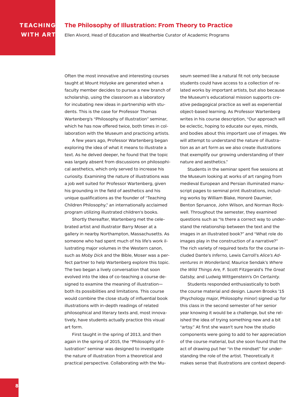#### **TEACHING WITH ART**

#### **The Philosophy of Illustration: From Theory to Practice**

Ellen Alvord, Head of Education and Weatherbie Curator of Academic Programs

Often the most innovative and interesting courses taught at Mount Holyoke are generated when a faculty member decides to pursue a new branch of scholarship, using the classroom as a laboratory for incubating new ideas in partnership with students. This is the case for Professor Thomas Wartenberg's "Philosophy of Illustration" seminar, which he has now offered twice, both times in collaboration with the Museum and practicing artists.

 A few years ago, Professor Wartenberg began exploring the idea of what it means to illustrate a text. As he delved deeper, he found that the topic was largely absent from discussions on philosophical aesthetics, which only served to increase his curiosity. Examining the nature of illustrations was a job well suited for Professor Wartenberg, given his grounding in the field of aesthetics and his unique qualifications as the founder of "Teaching Children Philosophy," an internationally acclaimed program utilizing illustrated children's books.

 Shortly thereafter, Wartenberg met the celebrated artist and illustrator Barry Moser at a gallery in nearby Northampton, Massachusetts. As someone who had spent much of his life's work illustrating major volumes in the Western canon, such as *Moby Dick* and the Bible, Moser was a perfect partner to help Wartenberg explore this topic. The two began a lively conversation that soon evolved into the idea of co-teaching a course designed to examine the meaning of illustration both its possibilities and limitations. This course would combine the close study of influential book illustrations with in-depth readings of related philosophical and literary texts and, most innovatively, have students actually practice this visual art form.

 First taught in the spring of 2013, and then again in the spring of 2015, the "Philosophy of Illustration" seminar was designed to investigate the nature of illustration from a theoretical and practical perspective. Collaborating with the Museum seemed like a natural fit not only because students could have access to a collection of related works by important artists, but also because the Museum's educational mission supports creative pedagogical practice as well as experiential object-based learning. As Professor Wartenberg writes in his course description, "Our approach will be eclectic, hoping to educate our eyes, minds, and bodies about this important use of images. We will attempt to understand the nature of illustration as an art form as we also create illustrations that exemplify our growing understanding of their nature and aesthetics."

 Students in the seminar spent five sessions at the Museum looking at works of art ranging from medieval European and Persian illuminated manuscript pages to seminal print illustrations, including works by William Blake, Honoré Daumier, Benton Spruance, John Wilson, and Norman Rockwell. Throughout the semester, they examined questions such as "Is there a correct way to understand the relationship between the text and the images in an illustrated book?" and "What role do images play in the construction of a narrative?" The rich variety of required texts for the course included Dante's *Inferno,* Lewis Carroll's *Alice's Adventures In Wonderland,* Maurice Sendak's *Where the Wild Things Are,* F. Scott Fitzgerald's *The Great Gatsby,* and Ludwig Wittgenstein's *On Certainty.*

 Students responded enthusiastically to both the course material and design. Lauren Brooks '15 (Psychology major, Philosophy minor) signed up for this class in the second semester of her senior year knowing it would be a challenge, but she relished the idea of trying something new and a bit "artsy." At first she wasn't sure how the studio components were going to add to her appreciation of the course material, but she soon found that the act of drawing put her "in the mindset" for understanding the role of the artist. Theoretically it makes sense that illustrations are context depend-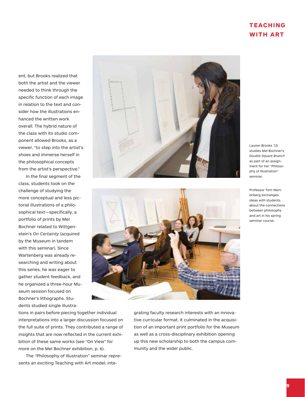#### **TEACHING WITH ART**

ent, but Brooks realized that both the artist and the viewer needed to think through the specific function of each image in relation to the text and consider how the illustrations enhanced the written work overall. The hybrid nature of the class with its studio component allowed Brooks, as a viewer, "to step into the artist's shoes and immerse herself in the philosophical concepts from the artist's perspective."

 In the final segment of the class, students took on the challenge of studying the more conceptual and less pictorial illustrations of a philosophical text—specifically, a portfolio of prints by Mel Bochner related to Wittgenstein's *On Certainty* (acquired by the Museum in tandem with this seminar). Since Wartenberg was already researching and writing about this series, he was eager to gather student feedback, and he organized a three-hour Museum session focused on Bochner's lithographs. Students studied single illustra-





Lauren Brooks '15 studies Mel Bochner's *Double Square Branch* as part of an assignment for her "Philosophy of Illustration" seminar.

Professor Tom Wartenberg exchanges ideas with students about the connections between philosophy and art in his spring seminar course.

tions in pairs before piecing together individual interpretations into a larger discussion focused on the full suite of prints. They contributed a range of insights that are now reflected in the current exhibition of these same works (see "On View" for more on the Mel Bochner exhibition, p. 6).

 The "Philosophy of Illustration" seminar represents an exciting Teaching with Art model, integrating faculty research interests with an innovative curricular format. It culminated in the acquisition of an important print portfolio for the Museum as well as a cross-disciplinary exhibition opening up this new scholarship to both the campus community and the wider public.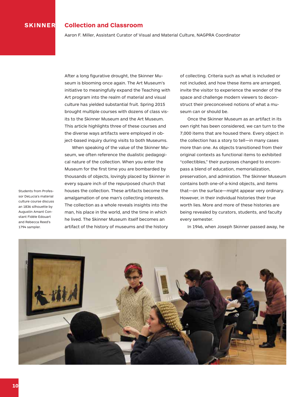#### **SKINNER Collection and Classroom**

Aaron F. Miller, Assistant Curator of Visual and Material Culture, NAGPRA Coordinator

After a long figurative drought, the Skinner Museum is blooming once again. The Art Museum's initiative to meaningfully expand the Teaching with Art program into the realm of material and visual culture has yielded substantial fruit. Spring 2015 brought multiple courses with dozens of class visits to the Skinner Museum and the Art Museum. This article highlights three of these courses and the diverse ways artifacts were employed in object-based inquiry during visits to both Museums.

 When speaking of the value of the Skinner Museum, we often reference the dualistic pedagogical nature of the collection. When you enter the Museum for the first time you are bombarded by thousands of objects, lovingly placed by Skinner in every square inch of the repurposed church that houses the collection. These artifacts become the amalgamation of one man's collecting interests. The collection as a whole reveals insights into the man, his place in the world, and the time in which he lived. The Skinner Museum itself becomes an artifact of the history of museums and the history

of collecting. Criteria such as what is included or not included, and how these items are arranged, invite the visitor to experience the wonder of the space and challenge modern viewers to deconstruct their preconceived notions of what a museum can or should be.

 Once the Skinner Museum as an artifact in its own right has been considered, we can turn to the 7,000 items that are housed there. Every object in the collection has a story to tell—in many cases more than one. As objects transitioned from their original contexts as functional items to exhibited "collectibles," their purposes changed to encompass a blend of education, memorialization, preservation, and admiration. The Skinner Museum contains both one-of-a-kind objects, and items that—on the surface—might appear very ordinary. However, in their individual histories their true worth lies. More and more of these histories are being revealed by curators, students, and faculty every semester.

Students from Professor DeLucia's material culture course discuss an 1836 silhouette by Augustin Amant Constant Fidèle Edouart and Rebecca Reed's 1794 sampler.

In 1946, when Joseph Skinner passed away, he

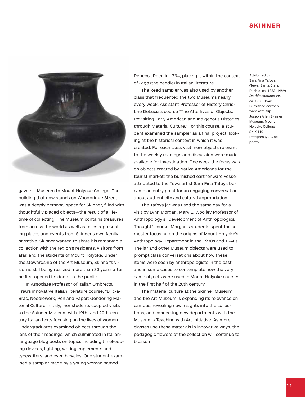#### **SKINNER**



gave his Museum to Mount Holyoke College. The building that now stands on Woodbridge Street was a deeply personal space for Skinner, filled with thoughtfully placed objects—the result of a lifetime of collecting. The Museum contains treasures from across the world as well as relics representing places and events from Skinner's own family narrative. Skinner wanted to share his remarkable collection with the region's residents, visitors from afar, and the students of Mount Holyoke. Under the stewardship of the Art Museum, Skinner's vision is still being realized more than 80 years after he first opened its doors to the public.

 In Associate Professor of Italian Ombretta Frau's innovative Italian literature course, "Bric-a-Brac, Needlework, Pen and Paper: Gendering Material Culture in Italy," her students coupled visits to the Skinner Museum with 19th- and 20th-century Italian texts focusing on the lives of women. Undergraduates examined objects through the lens of their readings, which culminated in Italianlanguage blog posts on topics including timekeeping devices, lighting, writing implements and typewriters, and even bicycles. One student examined a sampler made by a young woman named

Rebecca Reed in 1794, placing it within the context of *l'ago* (the needle) in Italian literature.

 The Reed sampler was also used by another class that frequented the two Museums nearly every week, Assistant Professor of History Christine DeLucia's course "The Afterlives of Objects: Revisiting Early American and Indigenous Histories through Material Culture." For this course, a student examined the sampler as a final project, looking at the historical context in which it was created. For each class visit, new objects relevant to the weekly readings and discussion were made available for investigation. One week the focus was on objects created by Native Americans for the tourist market; the burnished earthenware vessel attributed to the Tewa artist Sara Fina Tafoya became an entry point for an engaging conversation about authenticity and cultural appropriation.

 The Tafoya jar was used the same day for a visit by Lynn Morgan, Mary E. Woolley Professor of Anthropology's "Development of Anthropological Thought" course. Morgan's students spent the semester focusing on the origins of Mount Holyoke's Anthropology Department in the 1930s and 1940s. The jar and other Museum objects were used to prompt class conversations about how these items were seen by anthropologists in the past, and in some cases to contemplate how the very same objects were used in Mount Holyoke courses in the first half of the 20th century.

 The material culture at the Skinner Museum and the Art Museum is expanding its relevance on campus, revealing new insights into the collections, and connecting new departments with the Museum's Teaching with Art initiative. As more classes use these materials in innovative ways, the pedagogic flowers of the collection will continue to blossom.

Attributed to Sara Fina Tafoya (Tewa; Santa Clara Pueblo, ca. 1863–1949) *Double shoulder jar,* ca. 1900–1940 Burnished earthenware with slip Joseph Allen Skinner Museum, Mount Holyoke College SK K.110 Petegorsky / Gipe photo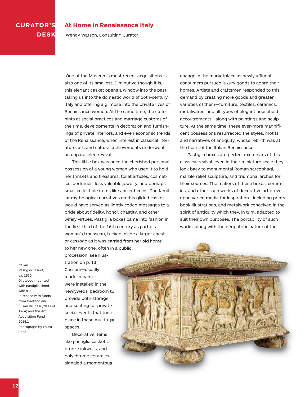## **CURATOR'S DESK**

#### **At Home in Renaissance Italy**

Wendy Watson, Consulting Curator

One of the Museum's most recent acquisitions is also one of its smallest. Diminutive though it is, this elegant casket opens a window into the past, taking us into the domestic world of 16th-century Italy and offering a glimpse into the private lives of Renaissance women. At the same time, the coffer hints at social practices and marriage customs of the time, developments in decoration and furnishings of private interiors, and even economic trends of the Renaissance, when interest in classical literature, art, and cultural achievements underwent an unparalleled revival.

 This little box was once the cherished personal possession of a young woman who used it to hold her trinkets and treasures, toilet articles, cosmetics, perfumes, less valuable jewelry, and perhaps small collectible items like ancient coins. The familiar mythological narratives on this gilded casket would have served as lightly coded messages to a bride about fidelity, honor, chastity, and other wifely virtues. Pastiglia boxes came into fashion in the first third of the 16th century as part of a woman's trousseau, tucked inside a larger chest or *cassone* as it was carried from her old home to her new one, often in a public

change in the marketplace as newly affluent consumers pursued luxury goods to adorn their homes. Artists and craftsmen responded to this demand by creating more goods and greater varieties of them—furniture, textiles, ceramics, metalwares, and all types of elegant household accoutrements—along with paintings and sculpture. At the same time, these ever-more magnificent possessions resurrected the styles, motifs, and narratives of antiquity, whose rebirth was at the heart of the Italian Renaissance.

 Pastiglia boxes are perfect exemplars of this classical revival; even in their miniature scale they look back to monumental Roman sarcophagi, marble relief sculpture, and triumphal arches for their sources. The makers of these boxes, ceramics, and other such works of decorative art drew upon varied media for inspiration—including prints, book illustrations, and metalwork conceived in the spirit of antiquity which they, in turn, adapted to suit their own purposes. The portability of such works, along with the peripatetic nature of the

Italian *Pastiglia casket,*  ca. 1530 Gilt wood mounted with pastiglia, lined with silk Purchase with funds from Gaetano and Susan Vicinelli (Class of 1964) and the Art Acquisition Fund 2015.1 Photograph by Laura Shea

tration on p. 13). Cassoni—usually made in pairs were installed in the newlyweds' bedroom to provide both storage and seating for private social events that took place in these multi-use spaces.

procession (see illus-

 Decorative items like pastiglia caskets, bronze inkwells, and polychrome ceramics signaled a momentous

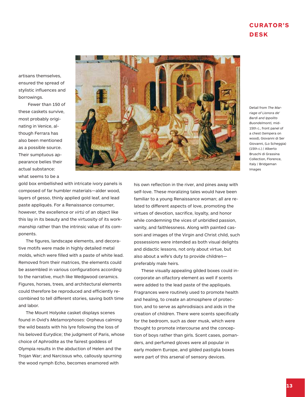#### **CURATOR'S DESK**

artisans themselves, ensured the spread of stylistic influences and borrowings.

Fewer than 150 of these caskets survive, most probably originating in Venice, although Ferrara has also been mentioned as a possible source. Their sumptuous appearance belies their actual substance: what seems to be a



Detail from *The Marriage of Lionora de' Bardi and Ippolito Buondelmonti,* mid-15th c., front panel of a chest (tempera on wood), Giovanni di Ser Giovanni, (Lo Scheggia) (15th c.) / Alberto Bruschi di Grassina Collection, Florence, Italy / Bridgeman Images

gold box embellished with intricate ivory panels is composed of far humbler materials—alder wood, layers of gesso, thinly applied gold leaf, and lead paste appliqués. For a Renaissance consumer, however, the excellence or *virtú* of an object like this lay in its beauty and the virtuosity of its workmanship rather than the intrinsic value of its components.

 The figures, landscape elements, and decorative motifs were made in highly detailed metal molds, which were filled with a paste of white lead. Removed from their matrices, the elements could be assembled in various configurations according to the narrative, much like Wedgwood ceramics. Figures, horses, trees, and architectural elements could therefore be reproduced and efficiently recombined to tell different stories, saving both time and labor.

 The Mount Holyoke casket displays scenes found in Ovid's *Metamorphoses:* Orpheus calming the wild beasts with his lyre following the loss of his beloved Eurydice; the judgment of Paris, whose choice of Aphrodite as the fairest goddess of Olympia results in the abduction of Helen and the Trojan War; and Narcissus who, callously spurning the wood nymph Echo, becomes enamored with

his own reflection in the river, and pines away with self-love. These moralizing tales would have been familiar to a young Renaissance woman; all are related to different aspects of love, promoting the virtues of devotion, sacrifice, loyalty, and honor while condemning the vices of unbridled passion, vanity, and faithlessness. Along with painted cassoni and images of the Virgin and Christ child, such possessions were intended as both visual delights and didactic lessons, not only about virtue, but also about a wife's duty to provide children preferably male heirs.

 These visually appealing gilded boxes could incorporate an olfactory element as well if scents were added to the lead paste of the appliqués. Fragrances were routinely used to promote health and healing, to create an atmosphere of protection, and to serve as aphrodisiacs and aids in the creation of children. There were scents specifically for the bedroom, such as deer musk, which were thought to promote intercourse and the conception of boys rather than girls. Scent cases, pomanders, and perfumed gloves were all popular in early modern Europe, and gilded pastiglia boxes were part of this arsenal of sensory devices.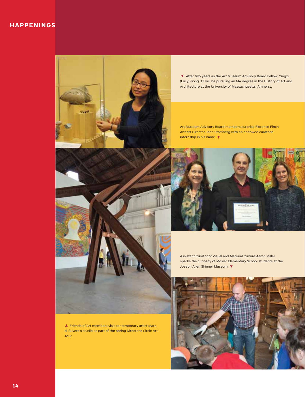#### **HAPPENINGS**



‰ After two years as the Art Museum Advisory Board Fellow, Yingxi (Lucy) Gong '13 will be pursuing an MA degree in the History of Art and Architecture at the University of Massachusetts, Amherst.

Art Museum Advisory Board members surprise Florence Finch Abbott Director John Stomberg with an endowed curatorial internship in his name.  $\blacktriangledown$ 



Assistant Curator of Visual and Material Culture Aaron Miller sparks the curiosity of Mosier Elementary School students at the Joseph Allen Skinner Museum. ▼



 $\blacktriangle$  Friends of Art members visit contemporary artist Mark di Suvero's studio as part of the spring Director's Circle Art Tour.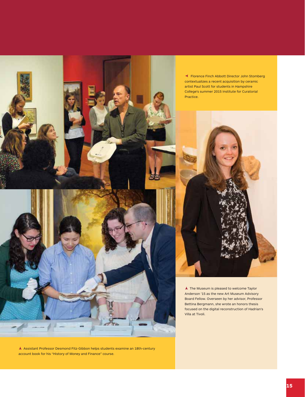

A Assistant Professor Desmond Fitz-Gibbon helps students examine an 18th-century account book for his "History of Money and Finance" course.

‰ Florence Finch Abbott Director John Stomberg contextualizes a recent acquisition by ceramic artist Paul Scott for students in Hampshire College's summer 2015 Institute for Curatorial Practice.



 $\blacktriangle$  The Museum is pleased to welcome Taylor Anderson '15 as the new Art Museum Advisory Board Fellow. Overseen by her advisor, Professor Bettina Bergmann, she wrote an honors thesis focused on the digital reconstruction of Hadrian's Villa at Tivoli.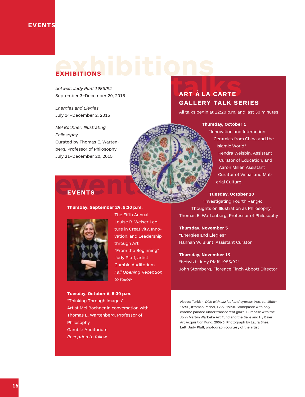## **exhibitions EXHIBITIONS**

*betwixt: Judy Pfaff 1985/92* September 3–December 20, 2015

*Energies and Elegies* July 14–December 2, 2015

*Mel Bochner: Illustrating Philosophy* Curated by Thomas E. Wartenberg, Professor of Philosophy July 21–December 20, 2015

## ART À LA CARTE **ART A` LA CARTE GALLERY TALK SERIES**

All talks begin at 12:20 p.m. and last 30 minutes

#### **Thursday, October 1**

"Innovation and Interaction: Ceramics from China and the Islamic World" Kendra Weisbin, Assistant Curator of Education, and Aaron Miller, Assistant Curator of Visual and Material Culture

#### **Tuesday, October 20**

"Investigating Fourth Range: Thoughts on Illustration as Philosophy" Thomas E. Wartenberg, Professor of Philosophy

**Thursday, November 5** "Energies and Elegies" Hannah W. Blunt, Assistant Curator

**Thursday, November 19** "betwixt: Judy Pfaff 1985/92" John Stomberg, Florence Finch Abbott Director

Above: Turkish, *Dish with saz leaf and cypress tree,* ca. 1580– 1590 (Ottoman Period, 1299–1923). Stonepaste with polychrome painted under transparent glaze. Purchase with the John Martyn Warbeke Art Fund and the Belle and Hy Baier Art Acquisition Fund, 2006.5. Photograph by Laura Shea Left: Judy Pfaff, photograph courtesy of the artist

# **events EVENTS**

**Thursday, September 24, 5:30 p.m.** 



The Fifth Annual Louise R. Weiser Lecture in Creativity, Innovation, and Leadership through Art "From the Beginning" Judy Pfaff, artist Gamble Auditorium *Fall Opening Reception to follow*

**Tuesday, October 6, 5:30 p.m.**  "Thinking Through Images" Artist Mel Bochner in conversation with Thomas E. Wartenberg, Professor of Philosophy Gamble Auditorium *Reception to follow*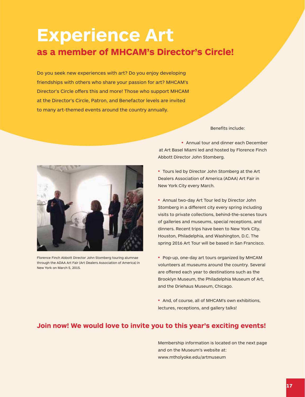# **Experience Art as a member of MHCAM's Director's Circle!**

Do you seek new experiences with art? Do you enjoy developing friendships with others who share your passion for art? MHCAM's Director's Circle offers this and more! Those who support MHCAM at the Director's Circle, Patron, and Benefactor levels are invited to many art-themed events around the country annually.

Benefits include:



Florence Finch Abbott Director John Stomberg touring alumnae through the ADAA Art Fair (Art Dealers Association of America) in New York on March 5, 2015.

• Annual tour and dinner each December at Art Basel Miami led and hosted by Florence Finch Abbott Director John Stomberg.

• Tours led by Director John Stomberg at the Art Dealers Association of America (ADAA) Art Fair in New York City every March.

• Annual two-day Art Tour led by Director John Stomberg in a different city every spring including visits to private collections, behind-the-scenes tours of galleries and museums, special receptions, and dinners. Recent trips have been to New York City, Houston, Philadelphia, and Washington, D.C. The spring 2016 Art Tour will be based in San Francisco.

• Pop-up, one-day art tours organized by MHCAM volunteers at museums around the country. Several are offered each year to destinations such as the Brooklyn Museum, the Philadelphia Museum of Art, and the Driehaus Museum, Chicago.

• And, of course, all of MHCAM's own exhibitions, lectures, receptions, and gallery talks!

#### **Join now! We would love to invite you to this year's exciting events!**

Membership information is located on the next page and on the Museum's website at: www.mtholyoke.edu/artmuseum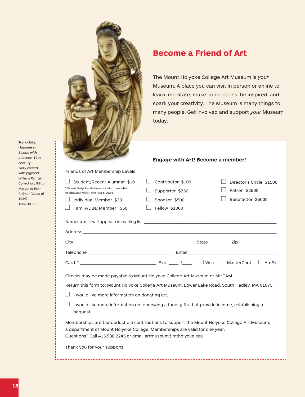|                                                                                                                                                                                                                                                                                                                                          | <b>Become a Friend of Art</b><br>today.                                | The Mount Holyoke College Art Museum is your<br>Museum. A place you can visit in person or online to<br>learn, meditate, make connections, be inspired, and<br>spark your creativity. The Museum is many things to<br>many people. Get involved and support your Museum                                                                                                                     |
|------------------------------------------------------------------------------------------------------------------------------------------------------------------------------------------------------------------------------------------------------------------------------------------------------------------------------------------|------------------------------------------------------------------------|---------------------------------------------------------------------------------------------------------------------------------------------------------------------------------------------------------------------------------------------------------------------------------------------------------------------------------------------------------------------------------------------|
|                                                                                                                                                                                                                                                                                                                                          | <b>Engage with Art! Become a member!</b>                               |                                                                                                                                                                                                                                                                                                                                                                                             |
| Friends of Art Membership Levels                                                                                                                                                                                                                                                                                                         |                                                                        |                                                                                                                                                                                                                                                                                                                                                                                             |
| Student/Recent Alumna* \$10<br>*Mount Holyoke students or alumnae who<br>graduated within the last 5 years<br>Individual Member \$30<br>Family/Dual Member \$50                                                                                                                                                                          | Contributor \$100<br>Supporter \$250<br>Sponsor \$500<br>Fellow \$1000 | Director's Circle \$1500<br>Patron \$2500<br>Benefactor \$5000                                                                                                                                                                                                                                                                                                                              |
|                                                                                                                                                                                                                                                                                                                                          |                                                                        |                                                                                                                                                                                                                                                                                                                                                                                             |
|                                                                                                                                                                                                                                                                                                                                          |                                                                        |                                                                                                                                                                                                                                                                                                                                                                                             |
|                                                                                                                                                                                                                                                                                                                                          |                                                                        |                                                                                                                                                                                                                                                                                                                                                                                             |
| City _                                                                                                                                                                                                                                                                                                                                   |                                                                        | $\blacksquare$ and $\blacksquare$ and $\blacksquare$ and $\blacksquare$ and $\blacksquare$ and $\blacksquare$ and $\blacksquare$ and $\blacksquare$ and $\blacksquare$ and $\blacksquare$ and $\blacksquare$ and $\blacksquare$ and $\blacksquare$ and $\blacksquare$ and $\blacksquare$ and $\blacksquare$ and $\blacksquare$ and $\blacksquare$ and $\blacksquare$ and $\blacksquare$ and |
|                                                                                                                                                                                                                                                                                                                                          |                                                                        |                                                                                                                                                                                                                                                                                                                                                                                             |
|                                                                                                                                                                                                                                                                                                                                          |                                                                        | $\Box$ AmEx                                                                                                                                                                                                                                                                                                                                                                                 |
| Checks may be made payable to Mount Holyoke College Art Museum or MHCAM.<br>Return this form to: Mount Holyoke College Art Museum, Lower Lake Road, South Hadley, MA 01075<br>I would like more information on donating art.<br>I would like more information on: endowing a fund, gifts that provide income, establishing a<br>bequest. |                                                                        |                                                                                                                                                                                                                                                                                                                                                                                             |
| Memberships are tax-deductible contributions to support the Mount Holyoke College Art Museum,<br>a department of Mount Holyoke College. Memberships are valid for one year.<br>Questions? Call 413.538.2245 or email artmuseum@mtholyoke.edu                                                                                             |                                                                        |                                                                                                                                                                                                                                                                                                                                                                                             |
| Thank you for your support!                                                                                                                                                                                                                                                                                                              |                                                                        |                                                                                                                                                                                                                                                                                                                                                                                             |

Tomochika (Japanese) *Seiobo with peaches,* 19th century Ivory carved with pigment William Richter Collection, Gift of Margaret Ruth Richter (Class of 1939) 1986.30.59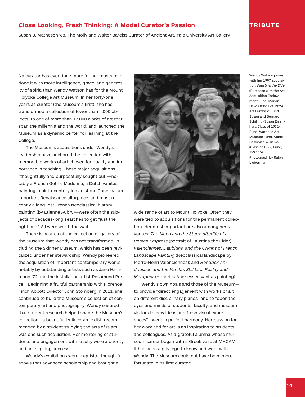#### **Close Looking, Fresh Thinking: A Model Curator's Passion TRIBUTE**

Susan B. Matheson '68, The Molly and Walter Bareiss Curator of Ancient Art, Yale University Art Gallery

No curator has ever done more for her museum, or done it with more intelligence, grace, and generosity of spirit, than Wendy Watson has for the Mount Holyoke College Art Museum. In her forty-one years as curator (the Museum's first), she has transformed a collection of fewer than 4,000 objects, to one of more than 17,000 works of art that span the millennia and the world, and launched the Museum as a dynamic center for learning at the College.

 The Museum's acquisitions under Wendy's leadership have anchored the collection with memorable works of art chosen for quality and importance in teaching. These major acquisitions, "thoughtfully and purposefully sought out"—notably a French Gothic Madonna, a Dutch vanitas painting, a ninth-century Indian stone Ganesha, an important Renaissance altarpiece, and most recently a long-lost French Neoclassical history painting (by Etienne Aubry)—were often the subjects of decades-long searches to get "just the right one." All were worth the wait.

 There is no area of the collection or gallery of the Museum that Wendy has not transformed, including the Skinner Museum, which has been revitalized under her stewardship. Wendy pioneered the acquisition of important contemporary works, notably by outstanding artists such as Jane Hammond '72 and the installation artist Rosamund Purcell. Beginning a fruitful partnership with Florence Finch Abbott Director John Stomberg in 2011, she continued to build the Museum's collection of contemporary art and photography. Wendy ensured that student research helped shape the Museum's collection—a beautiful Iznik ceramic dish recommended by a student studying the arts of Islam was one such acquisition. Her mentoring of students and engagement with faculty were a priority and an inspiring success.

 Wendy's exhibitions were exquisite, thoughtful shows that advanced scholarship and brought a



Wendy Watson poses with her 1997 acquisition, *Faustina the Elder* (Purchase with the Art Acquisition Endowment Fund, Marian Hayes (Class of 1925) Art Purchase Fund, Susan and Bernard Schilling (Susan Eisenhart, Class of 1932) Fund, Warbeke Art Museum Fund, Abbie Bosworth Williams (Class of 1927) Fund, 1997.15) Photograph by Ralph Lieberman

were tied to acquisitions for the permanent collection. Her most important are also among her favorites: *The Moon and the Stars: Afterlife of a Roman Empress* (portrait of Faustina the Elder); *Valenciennes, Daubigny, and the Origins of French Landscape Painting* (Neoclassical landscape by Pierre-Henri Valenciennes); and *Hendrick Andriessen and the Vanitas Still Life: Reality and Metaphor* (Hendrick Andriessen vanitas painting).

 Wendy's own goals and those of the Museum to provide "direct engagement with works of art on different disciplinary planes" and to "open the eyes and minds of students, faculty, and museum visitors to new ideas and fresh visual experiences"—were in perfect harmony. Her passion for her work and for art is an inspiration to students and colleagues. As a grateful alumna whose museum career began with a Greek vase at MHCAM, it has been a privilege to know and work with Wendy. The Museum could not have been more fortunate in its first curator!